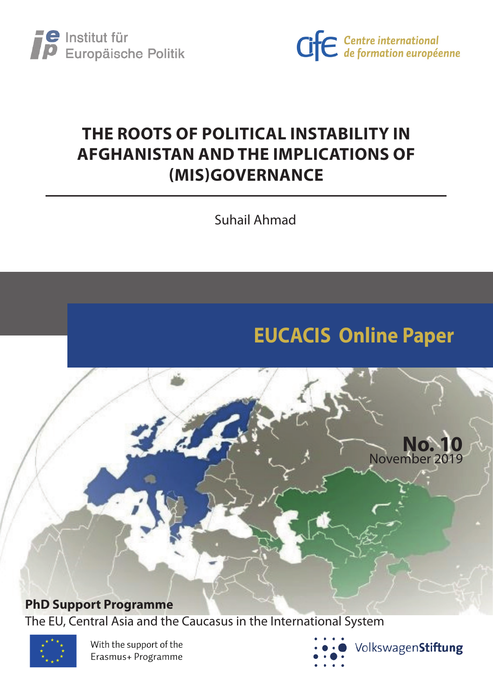



# **THE ROOTS OF POLITICAL INSTABILITY IN AFGHANISTAN AND THE IMPLICATIONS OF (MIS)GOVERNANCE**

Suhail Ahmad

# **EUCACIS Online Paper**



The EU, Central Asia and the Caucasus in the International System



With the support of the Erasmus+ Programme



**No. 10**

November 2019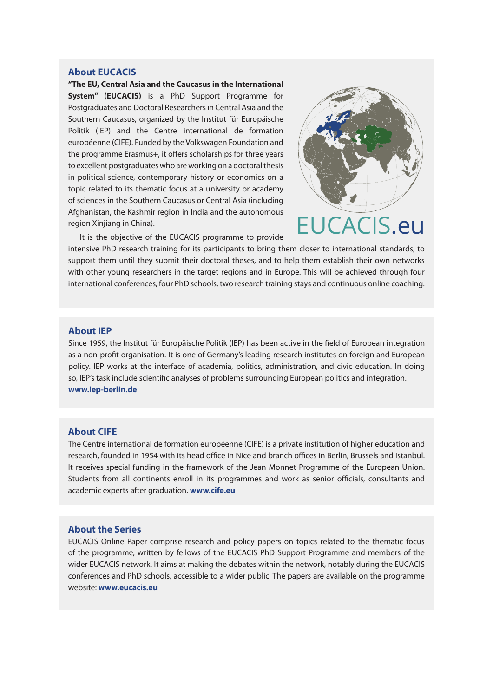#### **About EUCACIS**

**"The EU, Central Asia and the Caucasus in the International System" (EUCACIS)** is a PhD Support Programme for Postgraduates and Doctoral Researchers in Central Asia and the Southern Caucasus, organized by the Institut für Europäische Politik (IEP) and the Centre international de formation européenne (CIFE). Funded by the Volkswagen Foundation and the programme Erasmus+, it offers scholarships for three years to excellent postgraduates who are working on a doctoral thesis in political science, contemporary history or economics on a topic related to its thematic focus at a university or academy of sciences in the Southern Caucasus or Central Asia (including Afghanistan, the Kashmir region in India and the autonomous region Xinjiang in China).



It is the objective of the EUCACIS programme to provide

intensive PhD research training for its participants to bring them closer to international standards, to support them until they submit their doctoral theses, and to help them establish their own networks with other young researchers in the target regions and in Europe. This will be achieved through four international conferences, four PhD schools, two research training stays and continuous online coaching.

#### **About IEP**

Since 1959, the Institut für Europäische Politik (IEP) has been active in the field of European integration as a non-profit organisation. It is one of Germany's leading research institutes on foreign and European policy. IEP works at the interface of academia, politics, administration, and civic education. In doing so, IEP's task include scientific analyses of problems surrounding European politics and integration. **www.iep-berlin.de**

#### **About CIFE**

The Centre international de formation européenne (CIFE) is a private institution of higher education and research, founded in 1954 with its head office in Nice and branch offices in Berlin, Brussels and Istanbul. It receives special funding in the framework of the Jean Monnet Programme of the European Union. Students from all continents enroll in its programmes and work as senior officials, consultants and academic experts after graduation. **www.cife.eu**

#### **About the Series**

EUCACIS Online Paper comprise research and policy papers on topics related to the thematic focus of the programme, written by fellows of the EUCACIS PhD Support Programme and members of the wider EUCACIS network. It aims at making the debates within the network, notably during the EUCACIS conferences and PhD schools, accessible to a wider public. The papers are available on the programme website: **www.eucacis.eu**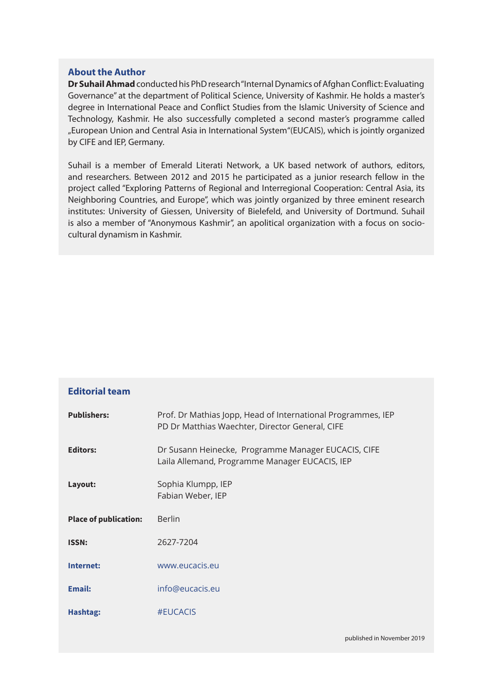# **About the Author**

**Dr Suhail Ahmad** conducted his PhD research "Internal Dynamics of Afghan Conflict: Evaluating Governance" at the department of Political Science, University of Kashmir. He holds a master's degree in International Peace and Conflict Studies from the Islamic University of Science and Technology, Kashmir. He also successfully completed a second master's programme called "European Union and Central Asia in International System"(EUCAIS), which is jointly organized by CIFE and IEP, Germany.

Suhail is a member of Emerald Literati Network, a UK based network of authors, editors, and researchers. Between 2012 and 2015 he participated as a junior research fellow in the project called "Exploring Patterns of Regional and Interregional Cooperation: Central Asia, its Neighboring Countries, and Europe", which was jointly organized by three eminent research institutes: University of Giessen, University of Bielefeld, and University of Dortmund. Suhail is also a member of "Anonymous Kashmir", an apolitical organization with a focus on sociocultural dynamism in Kashmir.

| <b>Editorial team</b>        |                                                                                                                 |
|------------------------------|-----------------------------------------------------------------------------------------------------------------|
| <b>Publishers:</b>           | Prof. Dr Mathias Jopp, Head of International Programmes, IEP<br>PD Dr Matthias Waechter, Director General, CIFE |
| <b>Editors:</b>              | Dr Susann Heinecke, Programme Manager EUCACIS, CIFE<br>Laila Allemand, Programme Manager EUCACIS, IEP           |
| Layout:                      | Sophia Klumpp, IEP<br>Fabian Weber, IEP                                                                         |
| <b>Place of publication:</b> | <b>Berlin</b>                                                                                                   |
| <b>ISSN:</b>                 | 2627-7204                                                                                                       |
| Internet:                    | www.eucacis.eu                                                                                                  |
| <b>Email:</b>                | info@eucacis.eu                                                                                                 |
|                              |                                                                                                                 |
| Hashtag:                     | #EUCACIS                                                                                                        |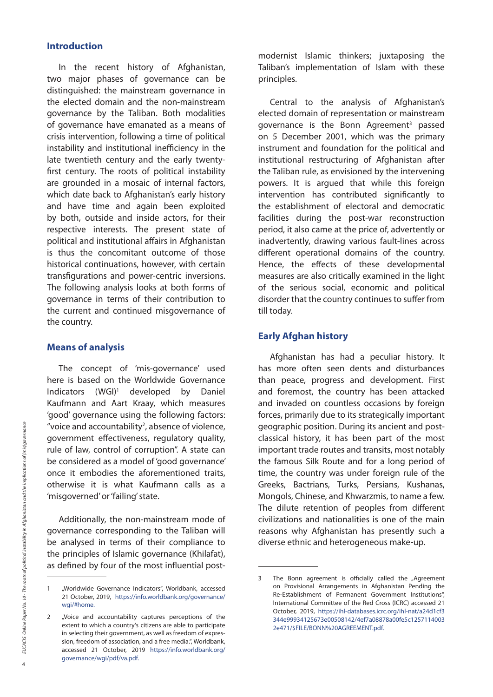#### **Introduction**

In the recent history of Afghanistan, two major phases of governance can be distinguished: the mainstream governance in the elected domain and the non-mainstream governance by the Taliban. Both modalities of governance have emanated as a means of crisis intervention, following a time of political instability and institutional inefficiency in the late twentieth century and the early twentyfirst century. The roots of political instability are grounded in a mosaic of internal factors, which date back to Afghanistan's early history and have time and again been exploited by both, outside and inside actors, for their respective interests. The present state of political and institutional affairs in Afghanistan is thus the concomitant outcome of those historical continuations, however, with certain transfigurations and power-centric inversions. The following analysis looks at both forms of governance in terms of their contribution to the current and continued misgovernance of the country.

# **Means of analysis**

The concept of 'mis-governance' used here is based on the Worldwide Governance Indicators (WGI)1 developed by Daniel Kaufmann and Aart Kraay, which measures 'good' governance using the following factors: "voice and accountability<sup>2</sup>, absence of violence, government effectiveness, regulatory quality, rule of law, control of corruption". A state can be considered as a model of 'good governance' once it embodies the aforementioned traits, otherwise it is what Kaufmann calls as a 'misgoverned' or 'failing' state.

Additionally, the non-mainstream mode of governance corresponding to the Taliban will be analysed in terms of their compliance to the principles of Islamic governance (Khilafat), as defined by four of the most influential postmodernist Islamic thinkers; juxtaposing the Taliban's implementation of Islam with these principles.

Central to the analysis of Afghanistan's elected domain of representation or mainstream governance is the Bonn Agreement<sup>3</sup> passed on 5 December 2001, which was the primary instrument and foundation for the political and institutional restructuring of Afghanistan after the Taliban rule, as envisioned by the intervening powers. It is argued that while this foreign intervention has contributed significantly to the establishment of electoral and democratic facilities during the post-war reconstruction period, it also came at the price of, advertently or inadvertently, drawing various fault-lines across different operational domains of the country. Hence, the effects of these developmental measures are also critically examined in the light of the serious social, economic and political disorder that the country continues to suffer from till today.

# **Early Afghan history**

Afghanistan has had a peculiar history. It has more often seen dents and disturbances than peace, progress and development. First and foremost, the country has been attacked and invaded on countless occasions by foreign forces, primarily due to its strategically important geographic position. During its ancient and postclassical history, it has been part of the most important trade routes and transits, most notably the famous Silk Route and for a long period of time, the country was under foreign rule of the Greeks, Bactrians, Turks, Persians, Kushanas, Mongols, Chinese, and Khwarzmis, to name a few. The dilute retention of peoples from different civilizations and nationalities is one of the main reasons why Afghanistan has presently such a diverse ethnic and heterogeneous make-up.

<sup>1</sup> "Worldwide Governance Indicators", Worldbank, accessed 21 October, 2019, https://info.worldbank.org/governance/ wgi/#home.

<sup>2 &</sup>quot;Voice and accountability captures perceptions of the extent to which a country's citizens are able to participate in selecting their government, as well as freedom of expression, freedom of association, and a free media.", Worldbank, accessed 21 October, 2019 https://info.worldbank.org/ governance/wgi/pdf/va.pdf.

<sup>3</sup> The Bonn agreement is officially called the "Agreement on Provisional Arrangements in Afghanistan Pending the Re-Establishment of Permanent Government Institutions", International Committee of the Red Cross (ICRC) accessed 21 October, 2019, https://ihl-databases.icrc.org/ihl-nat/a24d1cf3 344e99934125673e00508142/4ef7a08878a00fe5c1257114003 2e471/\$FILE/BONN%20AGREEMENT.pdf.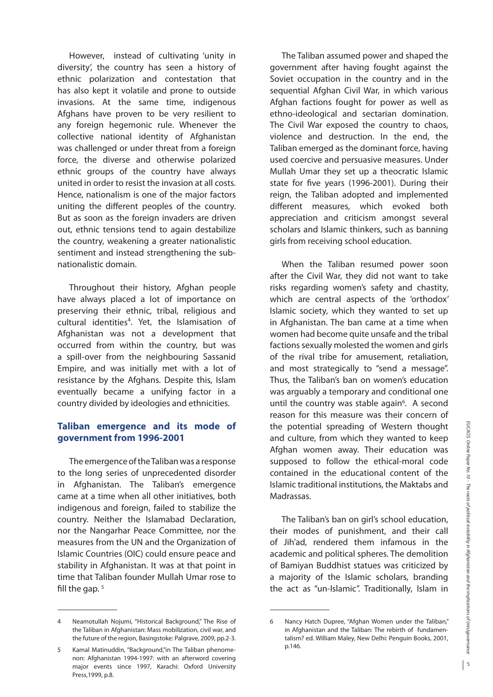However, instead of cultivating 'unity in diversity', the country has seen a history of ethnic polarization and contestation that has also kept it volatile and prone to outside invasions. At the same time, indigenous Afghans have proven to be very resilient to any foreign hegemonic rule. Whenever the collective national identity of Afghanistan was challenged or under threat from a foreign force, the diverse and otherwise polarized ethnic groups of the country have always united in order to resist the invasion at all costs. Hence, nationalism is one of the major factors uniting the different peoples of the country. But as soon as the foreign invaders are driven out, ethnic tensions tend to again destabilize the country, weakening a greater nationalistic sentiment and instead strengthening the subnationalistic domain.

Throughout their history, Afghan people have always placed a lot of importance on preserving their ethnic, tribal, religious and cultural identities<sup>4</sup>. Yet, the Islamisation of Afghanistan was not a development that occurred from within the country, but was a spill-over from the neighbouring Sassanid Empire, and was initially met with a lot of resistance by the Afghans. Despite this, Islam eventually became a unifying factor in a country divided by ideologies and ethnicities.

# **Taliban emergence and its mode of government from 1996-2001**

The emergence of the Taliban was a response to the long series of unprecedented disorder in Afghanistan. The Taliban's emergence came at a time when all other initiatives, both indigenous and foreign, failed to stabilize the country. Neither the Islamabad Declaration, nor the Nangarhar Peace Committee, nor the measures from the UN and the Organization of Islamic Countries (OIC) could ensure peace and stability in Afghanistan. It was at that point in time that Taliban founder Mullah Umar rose to fill the gap.  $5$ 

The Taliban assumed power and shaped the government after having fought against the Soviet occupation in the country and in the sequential Afghan Civil War, in which various Afghan factions fought for power as well as ethno-ideological and sectarian domination. The Civil War exposed the country to chaos, violence and destruction. In the end, the Taliban emerged as the dominant force, having used coercive and persuasive measures. Under Mullah Umar they set up a theocratic Islamic state for five years (1996-2001). During their reign, the Taliban adopted and implemented different measures, which evoked both appreciation and criticism amongst several scholars and Islamic thinkers, such as banning girls from receiving school education.

When the Taliban resumed power soon after the Civil War, they did not want to take risks regarding women's safety and chastity, which are central aspects of the 'orthodox' Islamic society, which they wanted to set up in Afghanistan. The ban came at a time when women had become quite unsafe and the tribal factions sexually molested the women and girls of the rival tribe for amusement, retaliation, and most strategically to "send a message". Thus, the Taliban's ban on women's education was arguably a temporary and conditional one until the country was stable again<sup>6</sup>. A second reason for this measure was their concern of the potential spreading of Western thought and culture, from which they wanted to keep Afghan women away. Their education was supposed to follow the ethical-moral code contained in the educational content of the Islamic traditional institutions, the Maktabs and Madrassas.

The Taliban's ban on girl's school education, their modes of punishment, and their call of Jih'ad, rendered them infamous in the academic and political spheres. The demolition of Bamiyan Buddhist statues was criticized by a majority of the Islamic scholars, branding the act as "un-Islamic". Traditionally, Islam in

<sup>4</sup> Neamotullah Nojumi, "Historical Background," The Rise of the Taliban in Afghanistan: Mass mobilization, civil war, and the future of the region, Basingstoke: Palgrave, 2009, pp.2-3.

<sup>5</sup> Kamal Matinuddin, "Background,"in The Taliban phenomenon: Afghanistan 1994-1997: with an afterword covering major events since 1997, Karachi: Oxford University Press,1999, p.8.

<sup>6</sup> Nancy Hatch Dupree, "Afghan Women under the Taliban," in Afghanistan and the Taliban: The rebirth of fundamentalism? ed. William Maley, New Delhi: Penguin Books, 2001, p.146.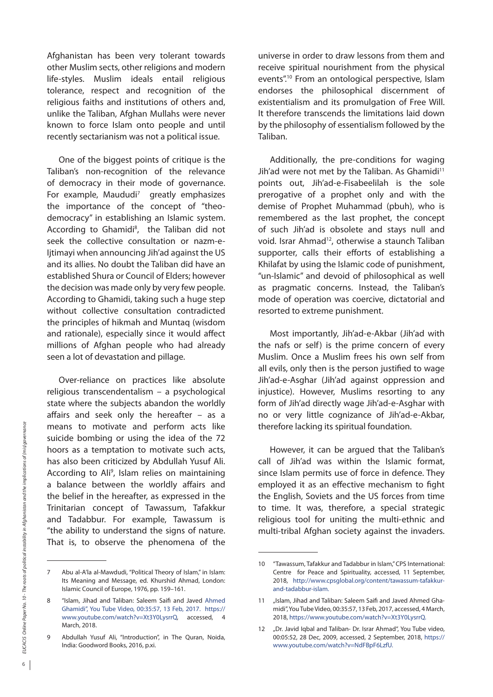Afghanistan has been very tolerant towards other Muslim sects, other religions and modern life-styles. Muslim ideals entail religious tolerance, respect and recognition of the religious faiths and institutions of others and, unlike the Taliban, Afghan Mullahs were never known to force Islam onto people and until recently sectarianism was not a political issue.

One of the biggest points of critique is the Taliban's non-recognition of the relevance of democracy in their mode of governance. For example, Maududi<sup>7</sup> greatly emphasizes the importance of the concept of "theodemocracy" in establishing an Islamic system. According to Ghamidi<sup>8</sup>, the Taliban did not seek the collective consultation or nazm-e-Ijtimayi when announcing Jih'ad against the US and its allies. No doubt the Taliban did have an established Shura or Council of Elders; however the decision was made only by very few people. According to Ghamidi, taking such a huge step without collective consultation contradicted the principles of hikmah and Muntaq (wisdom and rationale), especially since it would affect millions of Afghan people who had already seen a lot of devastation and pillage.

Over-reliance on practices like absolute religious transcendentalism – a psychological state where the subjects abandon the worldly affairs and seek only the hereafter – as a means to motivate and perform acts like suicide bombing or using the idea of the 72 hoors as a temptation to motivate such acts, has also been criticized by Abdullah Yusuf Ali. According to Ali<sup>9</sup>, Islam relies on maintaining a balance between the worldly affairs and the belief in the hereafter, as expressed in the Trinitarian concept of Tawassum, Tafakkur and Tadabbur. For example, Tawassum is "the ability to understand the signs of nature. That is, to observe the phenomena of the

universe in order to draw lessons from them and receive spiritual nourishment from the physical events".10 From an ontological perspective, Islam endorses the philosophical discernment of existentialism and its promulgation of Free Will. It therefore transcends the limitations laid down by the philosophy of essentialism followed by the Taliban.

Additionally, the pre-conditions for waging Jih'ad were not met by the Taliban. As Ghamidi<sup>11</sup> points out, Jih'ad-e-Fisabeelilah is the sole prerogative of a prophet only and with the demise of Prophet Muhammad (pbuh), who is remembered as the last prophet, the concept of such Jih'ad is obsolete and stays null and void. Israr Ahmad<sup>12</sup>, otherwise a staunch Taliban supporter, calls their efforts of establishing a Khilafat by using the Islamic code of punishment, "un-Islamic" and devoid of philosophical as well as pragmatic concerns. Instead, the Taliban's mode of operation was coercive, dictatorial and resorted to extreme punishment.

Most importantly, Jih'ad-e-Akbar (Jih'ad with the nafs or self) is the prime concern of every Muslim. Once a Muslim frees his own self from all evils, only then is the person justified to wage Jih'ad-e-Asghar (Jih'ad against oppression and injustice). However, Muslims resorting to any form of Jih'ad directly wage Jih'ad-e-Asghar with no or very little cognizance of Jih'ad-e-Akbar, therefore lacking its spiritual foundation.

However, it can be argued that the Taliban's call of Jih'ad was within the Islamic format, since Islam permits use of force in defence. They employed it as an effective mechanism to fight the English, Soviets and the US forces from time to time. It was, therefore, a special strategic religious tool for uniting the multi-ethnic and multi-tribal Afghan society against the invaders.

<sup>7</sup> Abu al-A'la al-Mawdudi, "Political Theory of Islam," in Islam: Its Meaning and Message, ed. Khurshid Ahmad, London: Islamic Council of Europe, 1976, pp. 159–161.

<sup>8</sup> "Islam, Jihad and Taliban: Saleem Saifi and Javed Ahmed Ghamidi", You Tube Video, 00:35:57, 13 Feb, 2017. https:// www.youtube.com/watch?v=Xt3Y0LysrrQ, accessed, 4 March, 2018.

<sup>9</sup> Abdullah Yusuf Ali, "Introduction", in The Quran, Noida, India: Goodword Books, 2016, p.xi.

<sup>10</sup> "Tawassum, Tafakkur and Tadabbur in Islam," CPS International: Centre for Peace and Spirituality, accessed, 11 September, 2018, http://www.cpsglobal.org/content/tawassum-tafakkurand-tadabbur-islam.

<sup>11 &</sup>quot;Islam, Jihad and Taliban: Saleem Saifi and Javed Ahmed Ghamidi", You Tube Video, 00:35:57, 13 Feb, 2017, accessed, 4 March, 2018, https://www.youtube.com/watch?v=Xt3Y0LysrrQ.

<sup>12 &</sup>quot;Dr. Javid Iqbal and Taliban- Dr. Israr Ahmad", You Tube video, 00:05:52, 28 Dec, 2009, accessed, 2 September, 2018, https:// www.youtube.com/watch?v=NdFBpF6LzfU.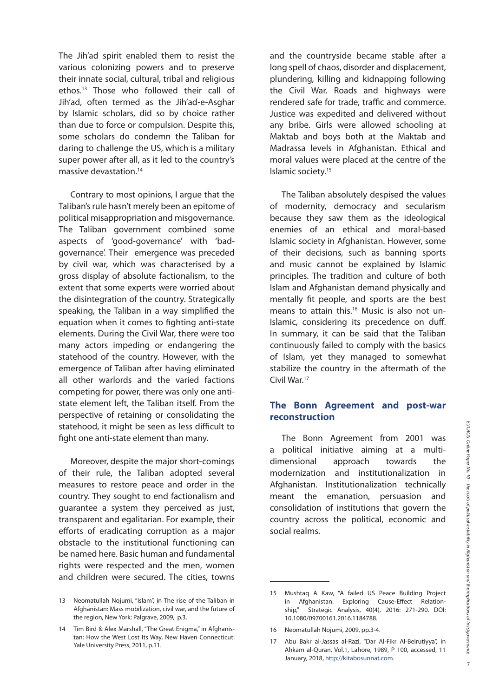The Jih'ad spirit enabled them to resist the various colonizing powers and to preserve their innate social, cultural, tribal and religious ethos.13 Those who followed their call of Jih'ad, often termed as the Jih'ad-e-Asghar by Islamic scholars, did so by choice rather than due to force or compulsion. Despite this, some scholars do condemn the Taliban for daring to challenge the US, which is a military super power after all, as it led to the country's massive devastation.14

Contrary to most opinions, I argue that the Taliban's rule hasn't merely been an epitome of political misappropriation and misgovernance. The Taliban government combined some aspects of 'good-governance' with 'badgovernance'. Their emergence was preceded by civil war, which was characterised by a gross display of absolute factionalism, to the extent that some experts were worried about the disintegration of the country. Strategically speaking, the Taliban in a way simplified the equation when it comes to fighting anti-state elements. During the Civil War, there were too many actors impeding or endangering the statehood of the country. However, with the emergence of Taliban after having eliminated all other warlords and the varied factions competing for power, there was only one antistate element left, the Taliban itself. From the perspective of retaining or consolidating the statehood, it might be seen as less difficult to fight one anti-state element than many.

Moreover, despite the major short-comings of their rule, the Taliban adopted several measures to restore peace and order in the country. They sought to end factionalism and guarantee a system they perceived as just, transparent and egalitarian. For example, their efforts of eradicating corruption as a major obstacle to the institutional functioning can be named here. Basic human and fundamental rights were respected and the men, women and children were secured. The cities, towns and the countryside became stable after a long spell of chaos, disorder and displacement, plundering, killing and kidnapping following the Civil War. Roads and highways were rendered safe for trade, traffic and commerce. Justice was expedited and delivered without any bribe. Girls were allowed schooling at Maktab and boys both at the Maktab and Madrassa levels in Afghanistan. Ethical and moral values were placed at the centre of the Islamic society.15

The Taliban absolutely despised the values of modernity, democracy and secularism because they saw them as the ideological enemies of an ethical and moral-based Islamic society in Afghanistan. However, some of their decisions, such as banning sports and music cannot be explained by Islamic principles. The tradition and culture of both Islam and Afghanistan demand physically and mentally fit people, and sports are the best means to attain this.<sup>16</sup> Music is also not un-Islamic, considering its precedence on duff. In summary, it can be said that the Taliban continuously failed to comply with the basics of Islam, yet they managed to somewhat stabilize the country in the aftermath of the Civil War.17

# **The Bonn Agreement and post-war reconstruction**

The Bonn Agreement from 2001 was a political initiative aiming at a multidimensional approach towards the modernization and institutionalization in Afghanistan. Institutionalization technically meant the emanation, persuasion and consolidation of institutions that govern the country across the political, economic and social realms.

<sup>13</sup> Neomatullah Nojumi, "Islam", in The rise of the Taliban in Afghanistan: Mass mobilization, civil war, and the future of the region, New York: Palgrave, 2009, p.3.

<sup>14</sup> Tim Bird & Alex Marshall, "The Great Enigma," in Afghanistan: How the West Lost Its Way, New Haven Connecticut: Yale University Press, 2011, p.11.

<sup>15</sup> Mushtaq A Kaw, "A failed US Peace Building Project in Afghanistan: Exploring Cause-Effect Relationship," Strategic Analysis, 40(4), 2016: 271-290. DOI: 10.1080/09700161.2016.1184788.

<sup>16</sup> Neomatullah Nojumi, 2009, pp.3-4.

<sup>17</sup> Abu Bakr al-Jassas al-Razi, "Dar Al-Fikr Al-Beirutiyya", in Ahkam al-Quran, Vol.1, Lahore, 1989, P 100, accessed, 11 January, 2018, http://kitabosunnat.com.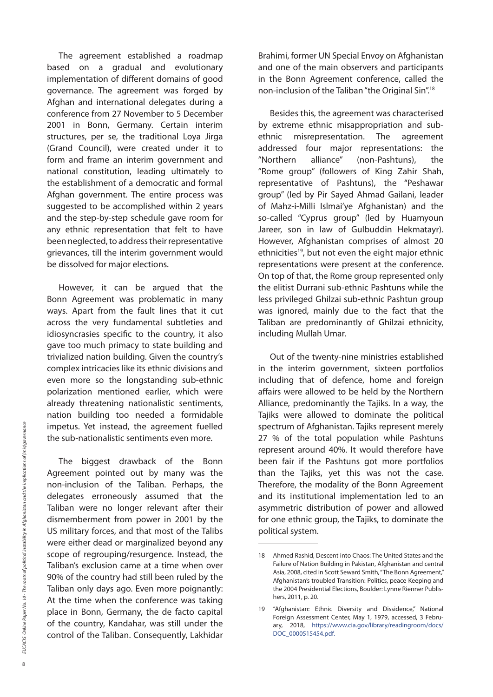The agreement established a roadmap based on a gradual and evolutionary implementation of different domains of good governance. The agreement was forged by Afghan and international delegates during a conference from 27 November to 5 December 2001 in Bonn, Germany. Certain interim structures, per se, the traditional Loya Jirga (Grand Council), were created under it to form and frame an interim government and national constitution, leading ultimately to the establishment of a democratic and formal Afghan government. The entire process was suggested to be accomplished within 2 years and the step-by-step schedule gave room for any ethnic representation that felt to have been neglected, to address their representative grievances, till the interim government would be dissolved for major elections.

However, it can be argued that the Bonn Agreement was problematic in many ways. Apart from the fault lines that it cut across the very fundamental subtleties and idiosyncrasies specific to the country, it also gave too much primacy to state building and trivialized nation building. Given the country's complex intricacies like its ethnic divisions and even more so the longstanding sub-ethnic polarization mentioned earlier, which were already threatening nationalistic sentiments, nation building too needed a formidable impetus. Yet instead, the agreement fuelled the sub-nationalistic sentiments even more.

The biggest drawback of the Bonn Agreement pointed out by many was the non-inclusion of the Taliban. Perhaps, the delegates erroneously assumed that the Taliban were no longer relevant after their dismemberment from power in 2001 by the US military forces, and that most of the Talibs were either dead or marginalized beyond any scope of regrouping/resurgence. Instead, the Taliban's exclusion came at a time when over 90% of the country had still been ruled by the Taliban only days ago. Even more poignantly: At the time when the conference was taking place in Bonn, Germany, the de facto capital of the country, Kandahar, was still under the control of the Taliban. Consequently, Lakhidar

Brahimi, former UN Special Envoy on Afghanistan and one of the main observers and participants in the Bonn Agreement conference, called the non-inclusion of the Taliban "the Original Sin".18

Besides this, the agreement was characterised by extreme ethnic misappropriation and subethnic misrepresentation. The agreement addressed four major representations: the "Northern alliance" (non-Pashtuns), the "Rome group" (followers of King Zahir Shah, representative of Pashtuns), the "Peshawar group" (led by Pir Sayed Ahmad Gailani, leader of Mahz-i-Milli Islmai'ye Afghanistan) and the so-called "Cyprus group" (led by Huamyoun Jareer, son in law of Gulbuddin Hekmatayr). However, Afghanistan comprises of almost 20 ethnicities<sup>19</sup>, but not even the eight major ethnic representations were present at the conference. On top of that, the Rome group represented only the elitist Durrani sub-ethnic Pashtuns while the less privileged Ghilzai sub-ethnic Pashtun group was ignored, mainly due to the fact that the Taliban are predominantly of Ghilzai ethnicity, including Mullah Umar.

Out of the twenty-nine ministries established in the interim government, sixteen portfolios including that of defence, home and foreign affairs were allowed to be held by the Northern Alliance, predominantly the Tajiks. In a way, the Tajiks were allowed to dominate the political spectrum of Afghanistan. Tajiks represent merely 27 % of the total population while Pashtuns represent around 40%. It would therefore have been fair if the Pashtuns got more portfolios than the Tajiks, yet this was not the case. Therefore, the modality of the Bonn Agreement and its institutional implementation led to an asymmetric distribution of power and allowed for one ethnic group, the Tajiks, to dominate the political system.

<sup>18</sup> Ahmed Rashid, Descent into Chaos: The United States and the Failure of Nation Building in Pakistan, Afghanistan and central Asia, 2008, cited in Scott Seward Smith, "The Bonn Agreement," Afghanistan's troubled Transition: Politics, peace Keeping and the 2004 Presidential Elections, Boulder: Lynne Rienner Publishers, 2011, p. 20.

<sup>19</sup> "Afghanistan: Ethnic Diversity and Dissidence," National Foreign Assessment Center, May 1, 1979, accessed, 3 February, 2018, https://www.cia.gov/library/readingroom/docs/ DOC\_0000515454.pdf.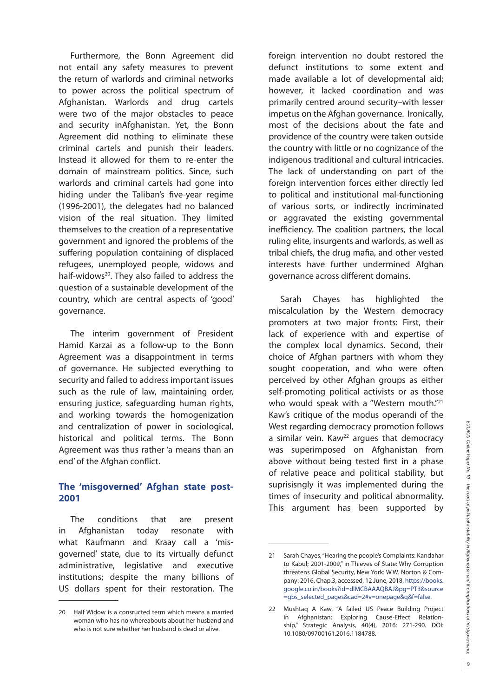Furthermore, the Bonn Agreement did not entail any safety measures to prevent the return of warlords and criminal networks to power across the political spectrum of Afghanistan. Warlords and drug cartels were two of the major obstacles to peace and security inAfghanistan. Yet, the Bonn Agreement did nothing to eliminate these criminal cartels and punish their leaders. Instead it allowed for them to re-enter the domain of mainstream politics. Since, such warlords and criminal cartels had gone into hiding under the Taliban's five-year regime (1996-2001), the delegates had no balanced vision of the real situation. They limited themselves to the creation of a representative government and ignored the problems of the suffering population containing of displaced refugees, unemployed people, widows and half-widows<sup>20</sup>. They also failed to address the question of a sustainable development of the country, which are central aspects of 'good' governance.

The interim government of President Hamid Karzai as a follow-up to the Bonn Agreement was a disappointment in terms of governance. He subjected everything to security and failed to address important issues such as the rule of law, maintaining order, ensuring justice, safeguarding human rights, and working towards the homogenization and centralization of power in sociological, historical and political terms. The Bonn Agreement was thus rather 'a means than an end' of the Afghan conflict.

# **The 'misgoverned' Afghan state post-2001**

The conditions that are present in Afghanistan today resonate with what Kaufmann and Kraay call a 'misgoverned' state, due to its virtually defunct administrative, legislative and executive institutions; despite the many billions of US dollars spent for their restoration. The foreign intervention no doubt restored the defunct institutions to some extent and made available a lot of developmental aid; however, it lacked coordination and was primarily centred around security–with lesser impetus on the Afghan governance. Ironically, most of the decisions about the fate and providence of the country were taken outside the country with little or no cognizance of the indigenous traditional and cultural intricacies. The lack of understanding on part of the foreign intervention forces either directly led to political and institutional mal-functioning of various sorts, or indirectly incriminated or aggravated the existing governmental inefficiency. The coalition partners, the local ruling elite, insurgents and warlords, as well as tribal chiefs, the drug mafia, and other vested interests have further undermined Afghan governance across different domains.

Sarah Chayes has highlighted the miscalculation by the Western democracy promoters at two major fronts: First, their lack of experience with and expertise of the complex local dynamics. Second, their choice of Afghan partners with whom they sought cooperation, and who were often perceived by other Afghan groups as either self-promoting political activists or as those who would speak with a "Western mouth."<sup>21</sup> Kaw's critique of the modus operandi of the West regarding democracy promotion follows a similar vein. Kaw<sup>22</sup> argues that democracy was superimposed on Afghanistan from above without being tested first in a phase of relative peace and political stability, but suprisisngly it was implemented during the times of insecurity and political abnormality. This argument has been supported by

<sup>20</sup> Half Widow is a consructed term which means a married woman who has no whereabouts about her husband and who is not sure whether her husband is dead or alive.

<sup>21</sup> Sarah Chayes, "Hearing the people's Complaints: Kandahar to Kabul; 2001-2009," in Thieves of State: Why Corruption threatens Global Security, New York: W.W. Norton & Company: 2016, Chap.3, accessed, 12 June, 2018, https://books. google.co.in/books?id=dlMCBAAAQBAJ&pg=PT3&source =gbs\_selected\_pages&cad=2#v=onepage&q&f=false.

<sup>22</sup> Mushtaq A Kaw, "A failed US Peace Building Project in Afghanistan: Exploring Cause-Effect Relationship," Strategic Analysis, 40(4), 2016: 271-290. DOI: 10.1080/09700161.2016.1184788.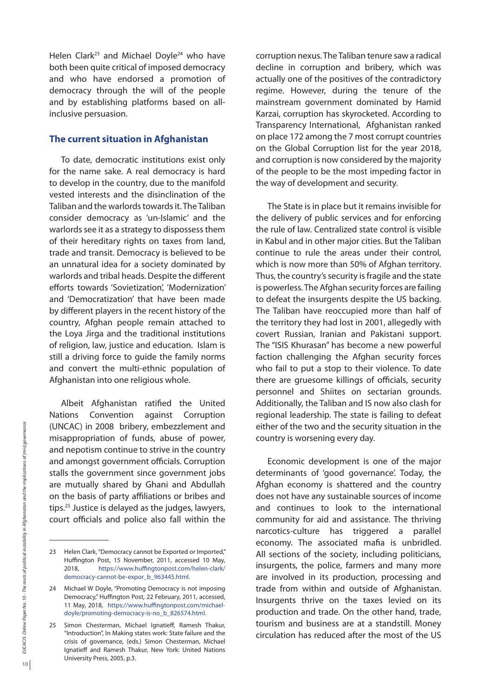Helen Clark<sup>23</sup> and Michael Doyle<sup>24</sup> who have both been quite critical of imposed democracy and who have endorsed a promotion of democracy through the will of the people and by establishing platforms based on allinclusive persuasion.

### **The current situation in Afghanistan**

To date, democratic institutions exist only for the name sake. A real democracy is hard to develop in the country, due to the manifold vested interests and the disinclination of the Taliban and the warlords towards it. The Taliban consider democracy as 'un-Islamic' and the warlords see it as a strategy to dispossess them of their hereditary rights on taxes from land, trade and transit. Democracy is believed to be an unnatural idea for a society dominated by warlords and tribal heads. Despite the different efforts towards 'Sovietization', 'Modernization' and 'Democratization' that have been made by different players in the recent history of the country, Afghan people remain attached to the Loya Jirga and the traditional institutions of religion, law, justice and education. Islam is still a driving force to guide the family norms and convert the multi-ethnic population of Afghanistan into one religious whole.

Albeit Afghanistan ratified the United Nations Convention against Corruption (UNCAC) in 2008 bribery, embezzlement and misappropriation of funds, abuse of power, and nepotism continue to strive in the country and amongst government officials. Corruption stalls the government since government jobs are mutually shared by Ghani and Abdullah on the basis of party affiliations or bribes and tips.25 Justice is delayed as the judges, lawyers, court officials and police also fall within the

corruption nexus. The Taliban tenure saw a radical decline in corruption and bribery, which was actually one of the positives of the contradictory regime. However, during the tenure of the mainstream government dominated by Hamid Karzai, corruption has skyrocketed. According to Transparency International, Afghanistan ranked on place 172 among the 7 most corrupt countries on the Global Corruption list for the year 2018, and corruption is now considered by the majority of the people to be the most impeding factor in the way of development and security.

The State is in place but it remains invisible for the delivery of public services and for enforcing the rule of law. Centralized state control is visible in Kabul and in other major cities. But the Taliban continue to rule the areas under their control, which is now more than 50% of Afghan territory. Thus, the country's security is fragile and the state is powerless. The Afghan security forces are failing to defeat the insurgents despite the US backing. The Taliban have reoccupied more than half of the territory they had lost in 2001, allegedly with covert Russian, Iranian and Pakistani support. The "ISIS Khurasan" has become a new powerful faction challenging the Afghan security forces who fail to put a stop to their violence. To date there are gruesome killings of officials, security personnel and Shiites on sectarian grounds. Additionally, the Taliban and IS now also clash for regional leadership. The state is failing to defeat either of the two and the security situation in the country is worsening every day.

Economic development is one of the major determinants of 'good governance'. Today, the Afghan economy is shattered and the country does not have any sustainable sources of income and continues to look to the international community for aid and assistance. The thriving narcotics-culture has triggered a parallel economy. The associated mafia is unbridled. All sections of the society, including politicians, insurgents, the police, farmers and many more are involved in its production, processing and trade from within and outside of Afghanistan. Insurgents thrive on the taxes levied on its production and trade. On the other hand, trade, tourism and business are at a standstill. Money circulation has reduced after the most of the US

<sup>23</sup> Helen Clark, "Democracy cannot be Exported or Imported," Huffington Post, 15 November, 2011, accessed 10 May, 2018, https://www.huffingtonpost.com/helen-clark/ democracy-cannot-be-expor\_b\_963445.html.

<sup>24</sup> Michael W Doyle, "Promoting Democracy is not imposing Democracy," Huffington Post, 22 February, 2011, accessed, 11 May, 2018, https://www.huffingtonpost.com/michaeldoyle/promoting-democracy-is-no\_b\_826574.html.

<sup>25</sup> Simon Chesterman, Michael Ignatieff, Ramesh Thakur, "Introduction", In Making states work: State failure and the crisis of governance, (eds.) Simon Chesterman, Michael Ignatieff and Ramesh Thakur, New York: United Nations University Press, 2005, p.3.